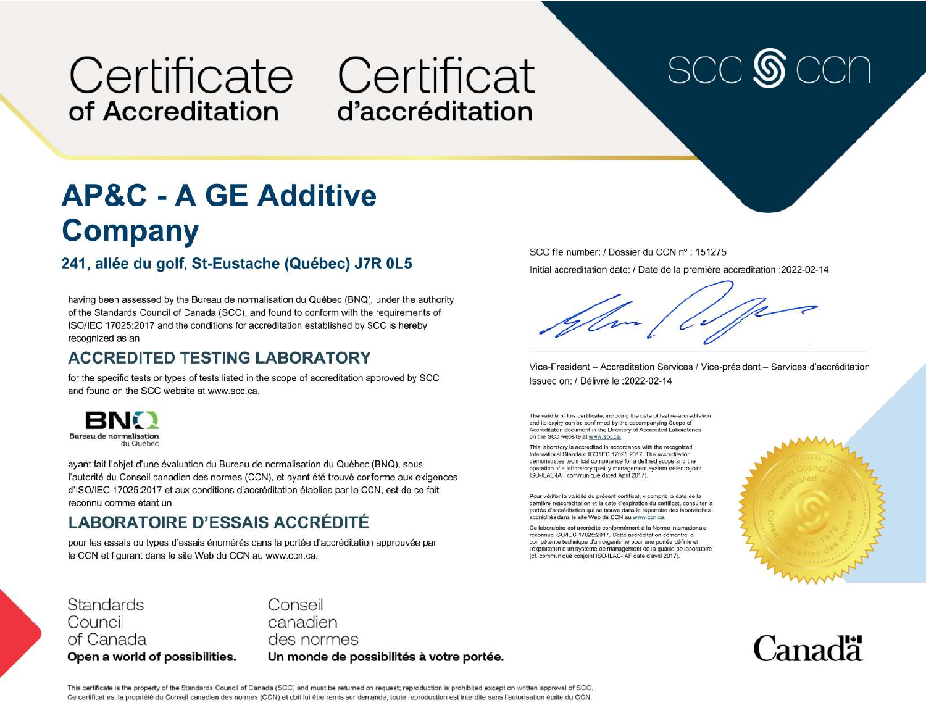## Certificate Certificat of Accreditation

# d'accréditation

# **SCC**

### **AP&C - A GE Additive Company**

#### 241, allée du golf, St-Eustache (Québec) J7R 0L5

having been assessed by the Bureau de normalisation du Québec (BNQ), under the authority of the Standards Council of Canada (SCC), and found to conform with the requirements of ISO/IEC 17025:2017 and the conditions for accreditation established by SCC is hereby recognized as an

#### **ACCREDITED TESTING LABORATORY**

for the specific tests or types of tests listed in the scope of accreditation approved by SCC and found on the SCC website at www.scc.ca.



ayant fait l'objet d'une évaluation du Bureau de normalisation du Québec (BNQ), sous l'autorité du Conseil canadien des normes (CCN), et ayant été trouvé conforme aux exigences d'ISO/IEC 17025:2017 et aux conditions d'accréditation établies par le CCN, est de ce fait reconnu comme étant un

#### **LABORATOIRE D'ESSAIS ACCRÉDITÉ**

pour les essais ou types d'essais énumérés dans la portée d'accréditation approuvée par le CCN et figurant dans le site Web du CCN au www.ccn.ca.

SCC file number: / Dossier du CCN nº : 151275 Initial accreditation date: / Date de la première accreditation : 2022-02-14

Vice-President - Accreditation Services / Vice-président - Services d'accréditation Issued on: / Délivré le : 2022-02-14

The validity of this certificate, including the date of last re-accreditation and its expiry can be confirmed by the accompanying Scope of Accreditation document in the Directory of Accredited Laboratories on the SCC website at www.scc.ca.

This laboratory is accredited in accordance with the recognized International Standard ISO/IEC 17025:2017. The accreditation demonstrates technical competence for a defined scope and the operation of a laboratory quality management system (refer to joint ISO-ILAC-IAF communiqué dated April 2017).

Pour vérifier la validité du présent certificat, y compris la date de la dernière réaccréditation et la date d'expiration du certificat, consulter la portée d'accréditation qui se trouve dans le répertoire des laboratoires accrédités dans le site Web du CCN au www.ccn.ca.

Ce laboratoire est accrédité conformément à la Norme internationale reconnue ISO/IEC 17025:2017. Cette accréditation démontre la compétence technique d'un organisme pour une portée définie et l'exploitation d'un système de management de la qualité de laboratoire (cf. communiqué conjoint ISO-ILAC-IAF date d'avril 2017).



**Canadä** 

**Standards** Council of Canada Open a world of possibilities. Conseil canadien des normes Un monde de possibilités à votre portée.

This certificate is the property of the Standards Council of Canada (SCC) and must be returned on request; reproduction is prohibited except on written approval of SCC. Ce certificat est la propriété du Conseil canadien des normes (CCN) et doit lui être remis sur demande; toute reproduction est interdite sans l'autorisation écrite du CCN.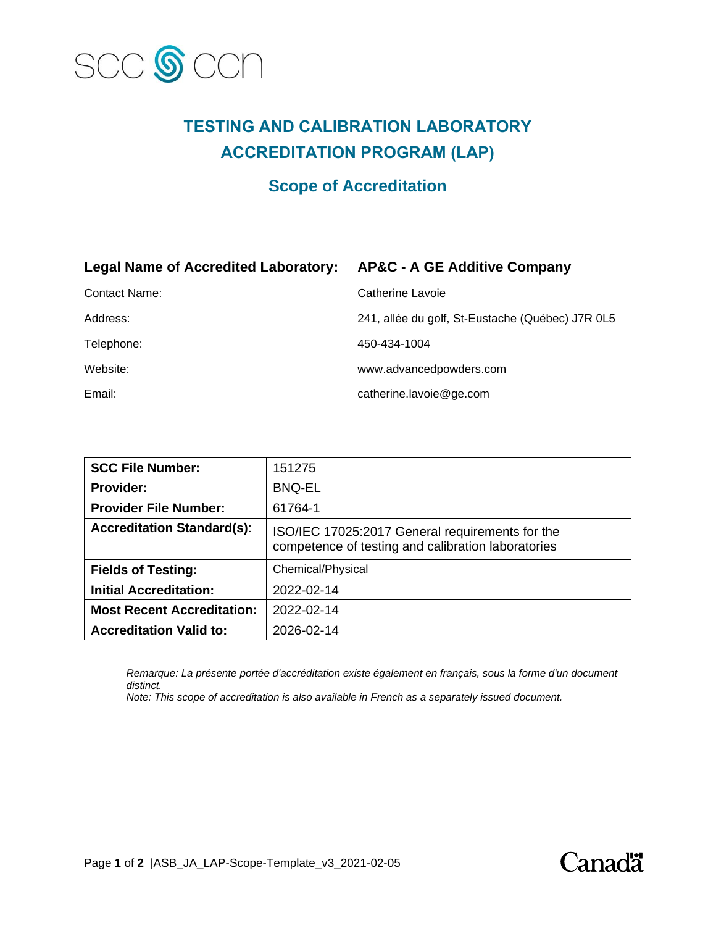

#### **TESTING AND CALIBRATION LABORATORY ACCREDITATION PROGRAM (LAP)**

#### **Scope of Accreditation**

#### **Legal Name of Accredited Laboratory: AP&C - A GE Additive Company**

| Contact Name: | Catherine Lavoie                                 |
|---------------|--------------------------------------------------|
| Address:      | 241, allée du golf, St-Eustache (Québec) J7R 0L5 |
| Telephone:    | 450-434-1004                                     |
| Website:      | www.advancedpowders.com                          |
| Email:        | catherine.lavoie@ge.com                          |

| <b>SCC File Number:</b>           | 151275                                                                                                |
|-----------------------------------|-------------------------------------------------------------------------------------------------------|
| <b>Provider:</b>                  | <b>BNQ-EL</b>                                                                                         |
| <b>Provider File Number:</b>      | 61764-1                                                                                               |
| <b>Accreditation Standard(s):</b> | ISO/IEC 17025:2017 General requirements for the<br>competence of testing and calibration laboratories |
| <b>Fields of Testing:</b>         | Chemical/Physical                                                                                     |
| <b>Initial Accreditation:</b>     | 2022-02-14                                                                                            |
| <b>Most Recent Accreditation:</b> | 2022-02-14                                                                                            |
| <b>Accreditation Valid to:</b>    | 2026-02-14                                                                                            |

*Remarque: La présente portée d'accréditation existe également en français, sous la forme d'un document distinct.*

*Note: This scope of accreditation is also available in French as a separately issued document.*